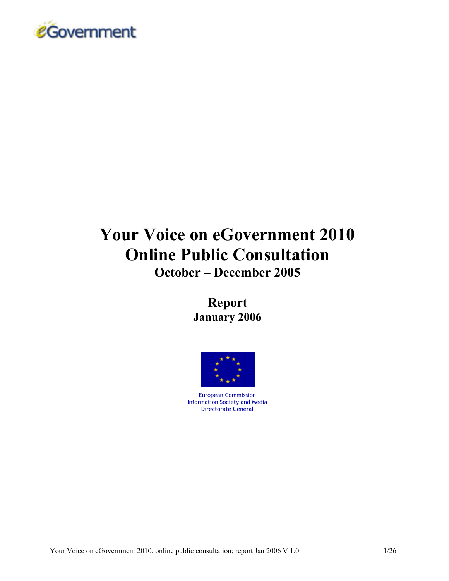

# **Your Voice on eGovernment 2010 Online Public Consultation October – December 2005**

**Report January 2006** 



European Commission Information Society and Media Directorate General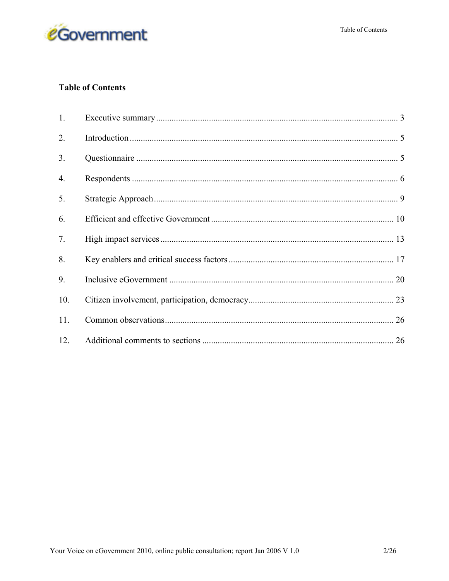

# **Table of Contents**

| 1.  |    |
|-----|----|
| 2.  |    |
| 3.  |    |
| 4.  |    |
| 5.  |    |
| 6.  |    |
| 7.  |    |
| 8.  |    |
| 9.  |    |
| 10. |    |
| 11. | 26 |
| 12. |    |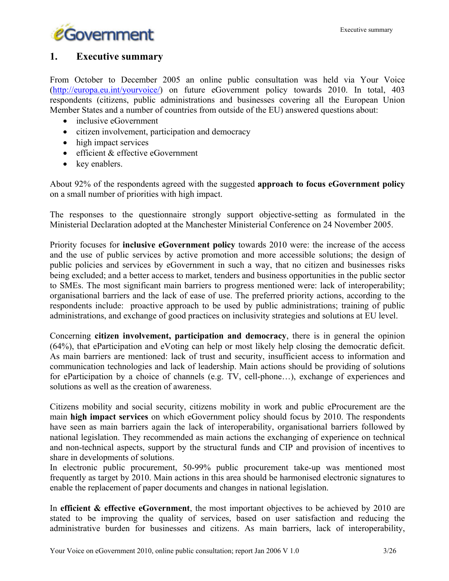

#### **1. Executive summary**

From October to December 2005 an online public consultation was held via Your Voice (http://europa.eu.int/yourvoice/) on future eGovernment policy towards 2010. In total, 403 respondents (citizens, public administrations and businesses covering all the European Union Member States and a number of countries from outside of the EU) answered questions about:

- inclusive eGovernment
- citizen involvement, participation and democracy
- high impact services
- efficient & effective eGovernment
- key enablers.

About 92% of the respondents agreed with the suggested **approach to focus eGovernment policy**  on a small number of priorities with high impact.

The responses to the questionnaire strongly support objective-setting as formulated in the Ministerial Declaration adopted at the Manchester Ministerial Conference on 24 November 2005.

Priority focuses for **inclusive eGovernment policy** towards 2010 were: the increase of the access and the use of public services by active promotion and more accessible solutions; the design of public policies and services by eGovernment in such a way, that no citizen and businesses risks being excluded; and a better access to market, tenders and business opportunities in the public sector to SMEs. The most significant main barriers to progress mentioned were: lack of interoperability; organisational barriers and the lack of ease of use. The preferred priority actions, according to the respondents include: proactive approach to be used by public administrations; training of public administrations, and exchange of good practices on inclusivity strategies and solutions at EU level.

Concerning **citizen involvement, participation and democracy**, there is in general the opinion (64%), that eParticipation and eVoting can help or most likely help closing the democratic deficit. As main barriers are mentioned: lack of trust and security, insufficient access to information and communication technologies and lack of leadership. Main actions should be providing of solutions for eParticipation by a choice of channels (e.g. TV, cell-phone…), exchange of experiences and solutions as well as the creation of awareness.

Citizens mobility and social security, citizens mobility in work and public eProcurement are the main **high impact services** on which eGovernment policy should focus by 2010. The respondents have seen as main barriers again the lack of interoperability, organisational barriers followed by national legislation. They recommended as main actions the exchanging of experience on technical and non-technical aspects, support by the structural funds and CIP and provision of incentives to share in developments of solutions.

In electronic public procurement, 50-99% public procurement take-up was mentioned most frequently as target by 2010. Main actions in this area should be harmonised electronic signatures to enable the replacement of paper documents and changes in national legislation.

In **efficient & effective eGovernment**, the most important objectives to be achieved by 2010 are stated to be improving the quality of services, based on user satisfaction and reducing the administrative burden for businesses and citizens. As main barriers, lack of interoperability,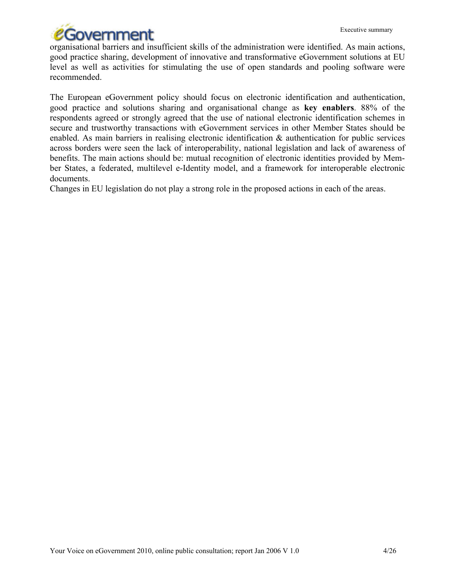

organisational barriers and insufficient skills of the administration were identified. As main actions, good practice sharing, development of innovative and transformative eGovernment solutions at EU level as well as activities for stimulating the use of open standards and pooling software were recommended.

The European eGovernment policy should focus on electronic identification and authentication, good practice and solutions sharing and organisational change as **key enablers**. 88% of the respondents agreed or strongly agreed that the use of national electronic identification schemes in secure and trustworthy transactions with eGovernment services in other Member States should be enabled. As main barriers in realising electronic identification & authentication for public services across borders were seen the lack of interoperability, national legislation and lack of awareness of benefits. The main actions should be: mutual recognition of electronic identities provided by Member States, a federated, multilevel e-Identity model, and a framework for interoperable electronic documents.

Changes in EU legislation do not play a strong role in the proposed actions in each of the areas.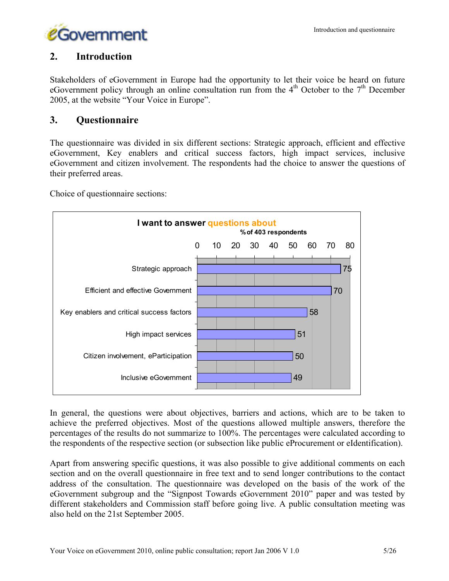

## **2. Introduction**

Stakeholders of eGovernment in Europe had the opportunity to let their voice be heard on future eGovernment policy through an online consultation run from the  $4<sup>th</sup>$  October to the  $7<sup>th</sup>$  December 2005, at the website "Your Voice in Europe".

## **3. Questionnaire**

The questionnaire was divided in six different sections: Strategic approach, efficient and effective eGovernment, Key enablers and critical success factors, high impact services, inclusive eGovernment and citizen involvement. The respondents had the choice to answer the questions of their preferred areas.

Choice of questionnaire sections:



In general, the questions were about objectives, barriers and actions, which are to be taken to achieve the preferred objectives. Most of the questions allowed multiple answers, therefore the percentages of the results do not summarize to 100%. The percentages were calculated according to the respondents of the respective section (or subsection like public eProcurement or eIdentification).

Apart from answering specific questions, it was also possible to give additional comments on each section and on the overall questionnaire in free text and to send longer contributions to the contact address of the consultation. The questionnaire was developed on the basis of the work of the eGovernment subgroup and the "Signpost Towards eGovernment 2010" paper and was tested by different stakeholders and Commission staff before going live. A public consultation meeting was also held on the 21st September 2005.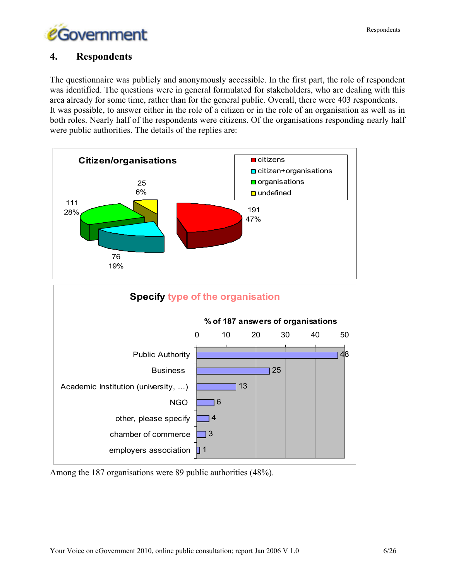

#### **4. Respondents**

The questionnaire was publicly and anonymously accessible. In the first part, the role of respondent was identified. The questions were in general formulated for stakeholders, who are dealing with this area already for some time, rather than for the general public. Overall, there were 403 respondents. It was possible, to answer either in the role of a citizen or in the role of an organisation as well as in both roles. Nearly half of the respondents were citizens. Of the organisations responding nearly half were public authorities. The details of the replies are:



Among the 187 organisations were 89 public authorities (48%).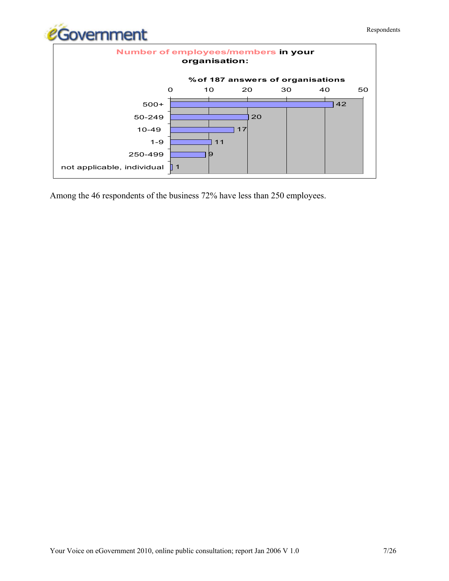



Among the 46 respondents of the business 72% have less than 250 employees.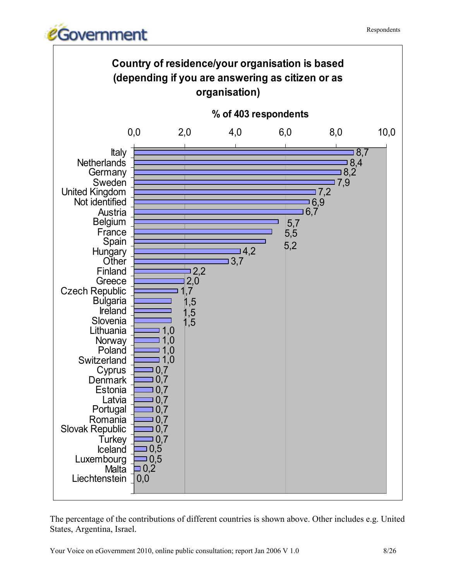



The percentage of the contributions of different countries is shown above. Other includes e.g. United States, Argentina, Israel.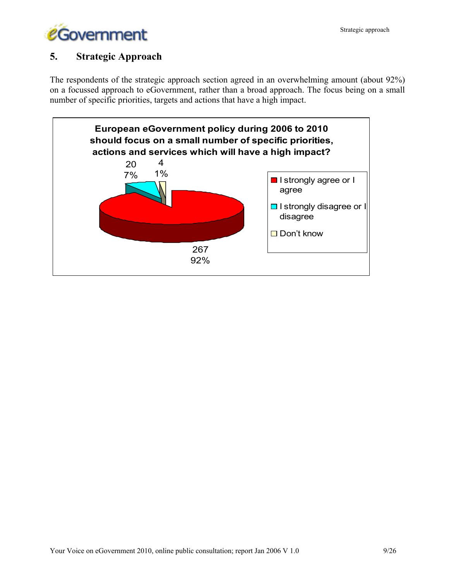

## **5. Strategic Approach**

The respondents of the strategic approach section agreed in an overwhelming amount (about 92%) on a focussed approach to eGovernment, rather than a broad approach. The focus being on a small number of specific priorities, targets and actions that have a high impact.

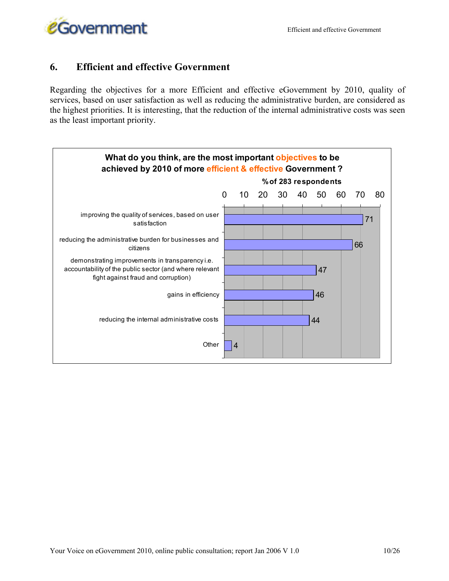

#### **6. Efficient and effective Government**

Regarding the objectives for a more Efficient and effective eGovernment by 2010, quality of services, based on user satisfaction as well as reducing the administrative burden, are considered as the highest priorities. It is interesting, that the reduction of the internal administrative costs was seen as the least important priority.

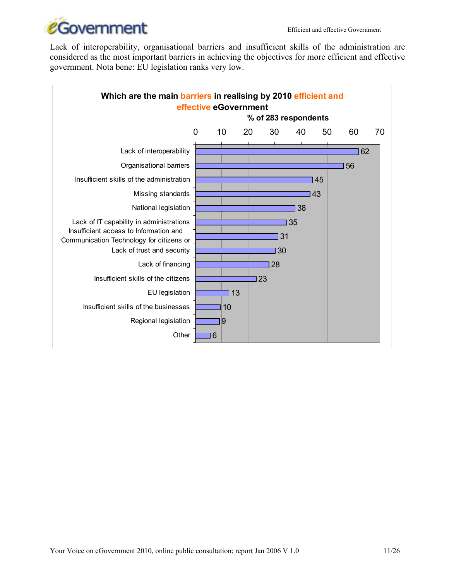

Lack of interoperability, organisational barriers and insufficient skills of the administration are considered as the most important barriers in achieving the objectives for more efficient and effective government. Nota bene: EU legislation ranks very low.

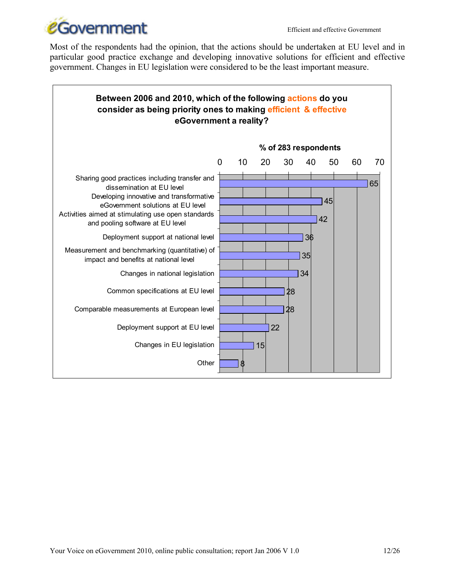

Most of the respondents had the opinion, that the actions should be undertaken at EU level and in particular good practice exchange and developing innovative solutions for efficient and effective government. Changes in EU legislation were considered to be the least important measure.

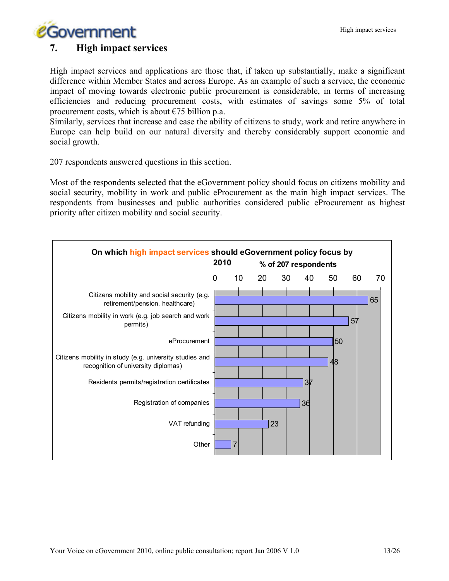

#### **7. High impact services**

High impact services and applications are those that, if taken up substantially, make a significant difference within Member States and across Europe. As an example of such a service, the economic impact of moving towards electronic public procurement is considerable, in terms of increasing efficiencies and reducing procurement costs, with estimates of savings some 5% of total procurement costs, which is about  $\epsilon$ 75 billion p.a.

Similarly, services that increase and ease the ability of citizens to study, work and retire anywhere in Europe can help build on our natural diversity and thereby considerably support economic and social growth.

207 respondents answered questions in this section.

Most of the respondents selected that the eGovernment policy should focus on citizens mobility and social security, mobility in work and public eProcurement as the main high impact services. The respondents from businesses and public authorities considered public eProcurement as highest priority after citizen mobility and social security.

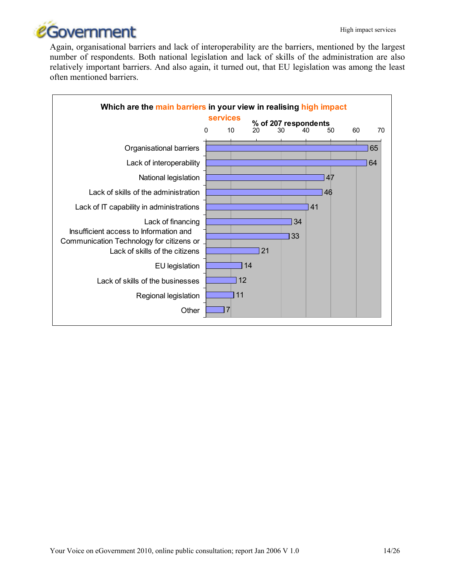

Again, organisational barriers and lack of interoperability are the barriers, mentioned by the largest number of respondents. Both national legislation and lack of skills of the administration are also relatively important barriers. And also again, it turned out, that EU legislation was among the least often mentioned barriers.

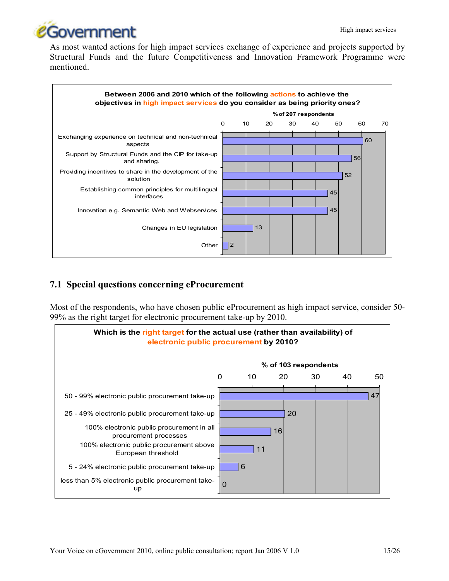

As most wanted actions for high impact services exchange of experience and projects supported by Structural Funds and the future Competitiveness and Innovation Framework Programme were mentioned.



#### **7.1 Special questions concerning eProcurement**

Most of the respondents, who have chosen public eProcurement as high impact service, consider 50- 99% as the right target for electronic procurement take-up by 2010.

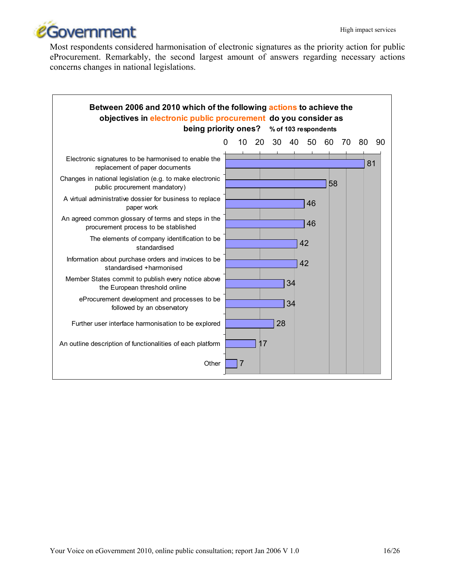

Most respondents considered harmonisation of electronic signatures as the priority action for public eProcurement. Remarkably, the second largest amount of answers regarding necessary actions concerns changes in national legislations.

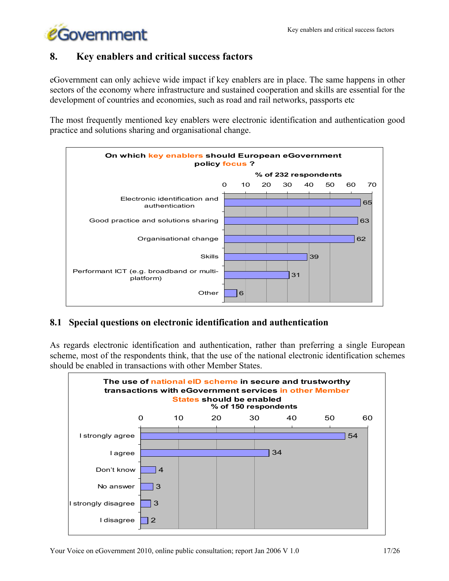

## **8. Key enablers and critical success factors**

eGovernment can only achieve wide impact if key enablers are in place. The same happens in other sectors of the economy where infrastructure and sustained cooperation and skills are essential for the development of countries and economies, such as road and rail networks, passports etc

The most frequently mentioned key enablers were electronic identification and authentication good practice and solutions sharing and organisational change.



#### **8.1 Special questions on electronic identification and authentication**

As regards electronic identification and authentication, rather than preferring a single European scheme, most of the respondents think, that the use of the national electronic identification schemes should be enabled in transactions with other Member States.

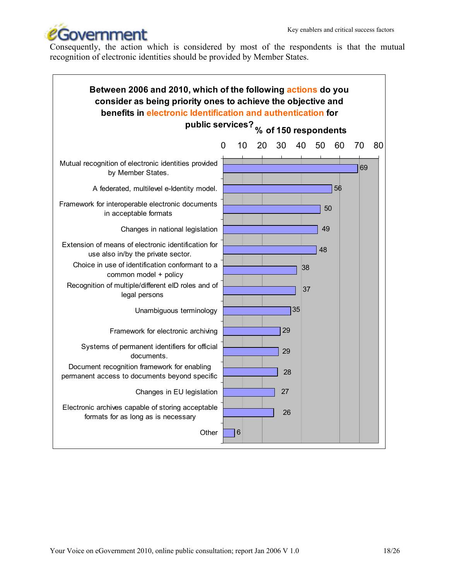![](_page_17_Picture_1.jpeg)

Consequently, the action which is considered by most of the respondents is that the mutual recognition of electronic identities should be provided by Member States.

![](_page_17_Figure_3.jpeg)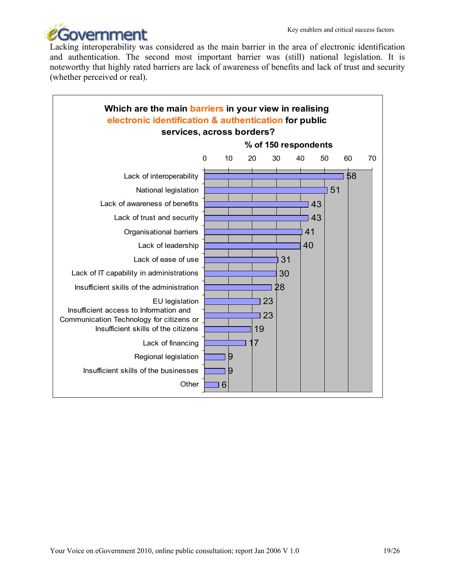![](_page_18_Picture_1.jpeg)

Lacking interoperability was considered as the main barrier in the area of electronic identification and authentication. The second most important barrier was (still) national legislation. It is noteworthy that highly rated barriers are lack of awareness of benefits and lack of trust and security (whether perceived or real).

![](_page_18_Figure_3.jpeg)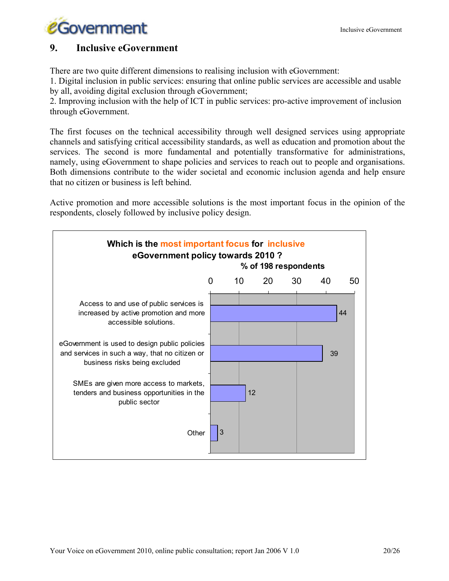![](_page_19_Picture_0.jpeg)

#### **9. Inclusive eGovernment**

There are two quite different dimensions to realising inclusion with eGovernment:

1. Digital inclusion in public services: ensuring that online public services are accessible and usable by all, avoiding digital exclusion through eGovernment;

2. Improving inclusion with the help of ICT in public services: pro-active improvement of inclusion through eGovernment.

The first focuses on the technical accessibility through well designed services using appropriate channels and satisfying critical accessibility standards, as well as education and promotion about the services. The second is more fundamental and potentially transformative for administrations, namely, using eGovernment to shape policies and services to reach out to people and organisations. Both dimensions contribute to the wider societal and economic inclusion agenda and help ensure that no citizen or business is left behind.

Active promotion and more accessible solutions is the most important focus in the opinion of the respondents, closely followed by inclusive policy design.

![](_page_19_Figure_8.jpeg)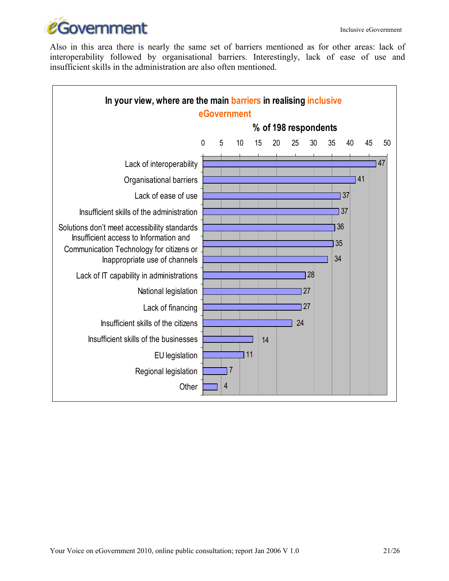![](_page_20_Picture_1.jpeg)

Also in this area there is nearly the same set of barriers mentioned as for other areas: lack of interoperability followed by organisational barriers. Interestingly, lack of ease of use and insufficient skills in the administration are also often mentioned.

![](_page_20_Figure_3.jpeg)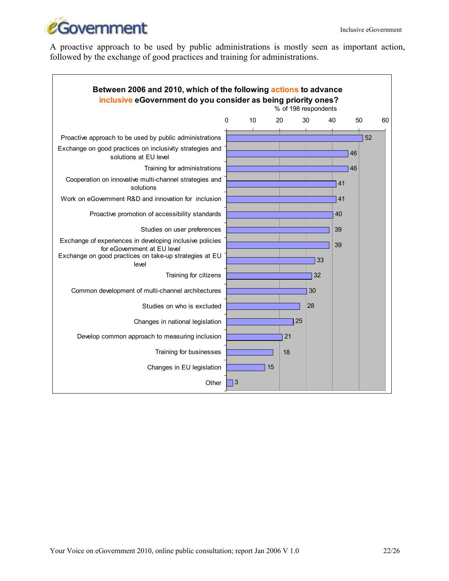![](_page_21_Picture_0.jpeg)

A proactive approach to be used by public administrations is mostly seen as important action, followed by the exchange of good practices and training for administrations.

![](_page_21_Figure_3.jpeg)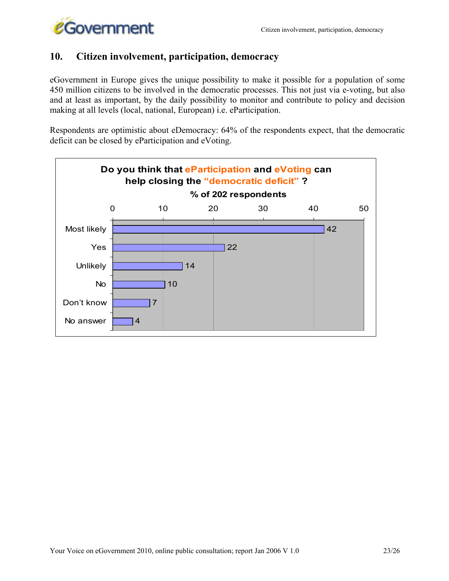![](_page_22_Picture_1.jpeg)

#### **10. Citizen involvement, participation, democracy**

eGovernment in Europe gives the unique possibility to make it possible for a population of some 450 million citizens to be involved in the democratic processes. This not just via e-voting, but also and at least as important, by the daily possibility to monitor and contribute to policy and decision making at all levels (local, national, European) i.e. eParticipation.

Respondents are optimistic about eDemocracy: 64% of the respondents expect, that the democratic deficit can be closed by eParticipation and eVoting.

![](_page_22_Figure_5.jpeg)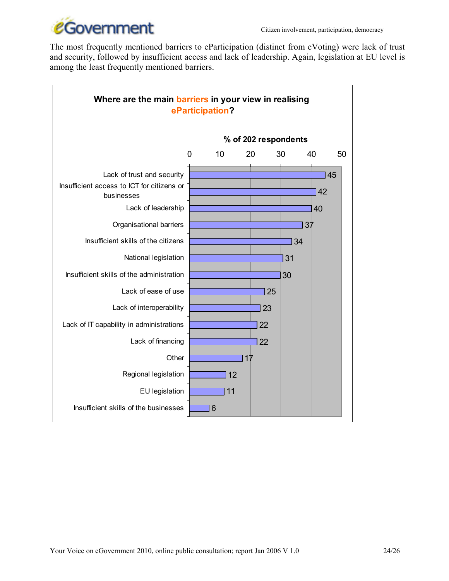![](_page_23_Picture_0.jpeg)

The most frequently mentioned barriers to eParticipation (distinct from eVoting) were lack of trust and security, followed by insufficient access and lack of leadership. Again, legislation at EU level is among the least frequently mentioned barriers.

![](_page_23_Figure_3.jpeg)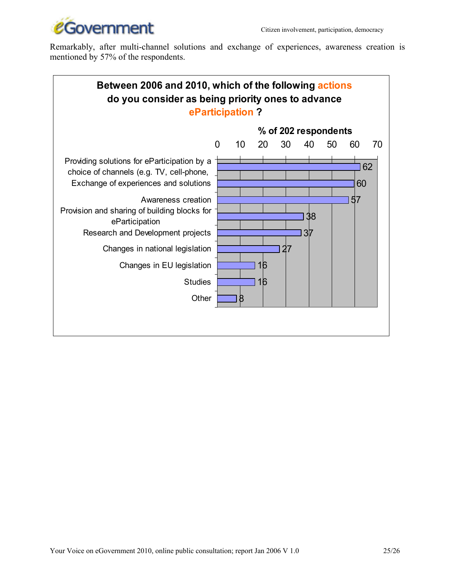![](_page_24_Picture_0.jpeg)

Remarkably, after multi-channel solutions and exchange of experiences, awareness creation is mentioned by 57% of the respondents.

![](_page_24_Figure_3.jpeg)